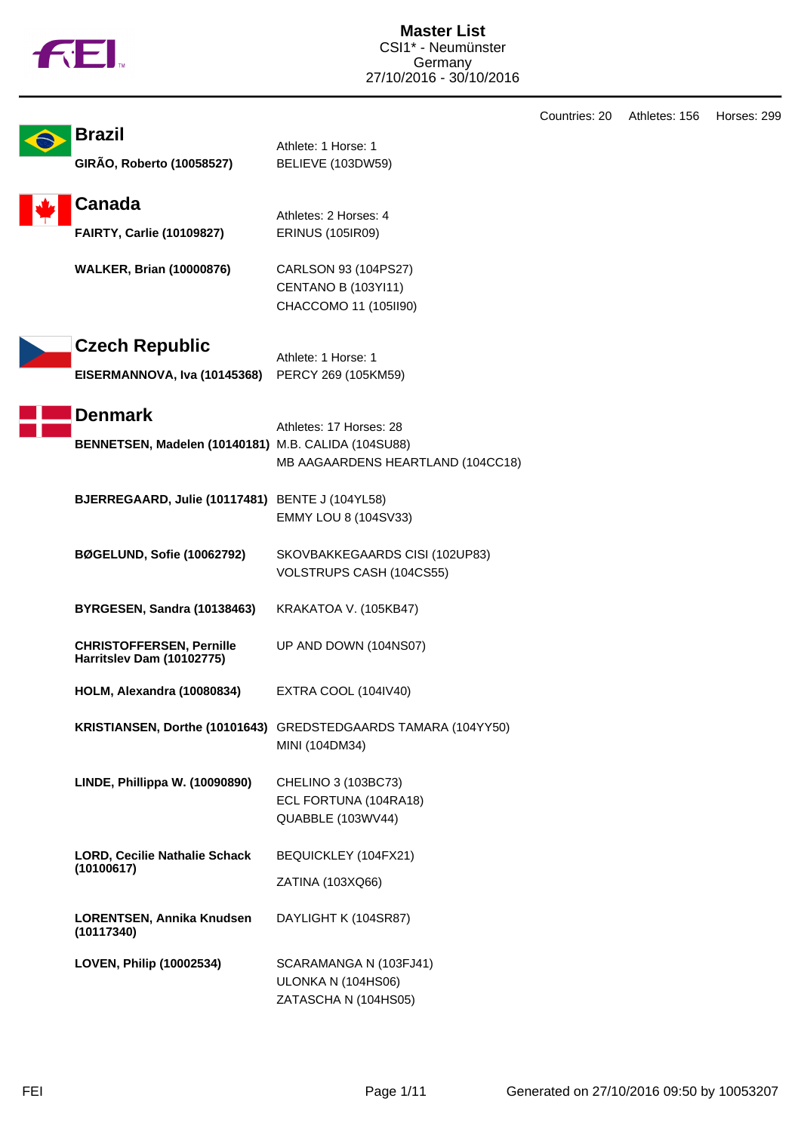|  | M |
|--|---|
|  |   |

|                                                                       |                                                                                  | Countries: 20 | Athletes: 156 | Horses: 299 |
|-----------------------------------------------------------------------|----------------------------------------------------------------------------------|---------------|---------------|-------------|
| <b>Brazil</b><br>GIRÃO, Roberto (10058527)                            | Athlete: 1 Horse: 1<br>BELIEVE (103DW59)                                         |               |               |             |
| <b>Canada</b><br><b>FAIRTY, Carlie (10109827)</b>                     | Athletes: 2 Horses: 4<br><b>ERINUS (105IR09)</b>                                 |               |               |             |
| <b>WALKER, Brian (10000876)</b>                                       | CARLSON 93 (104PS27)<br><b>CENTANO B (103YI11)</b><br>CHACCOMO 11 (105ll90)      |               |               |             |
| <b>Czech Republic</b><br>EISERMANNOVA, Iva (10145368)                 | Athlete: 1 Horse: 1<br>PERCY 269 (105KM59)                                       |               |               |             |
| <b>Denmark</b><br>BENNETSEN, Madelen (10140181) M.B. CALIDA (104SU88) | Athletes: 17 Horses: 28<br>MB AAGAARDENS HEARTLAND (104CC18)                     |               |               |             |
| BJERREGAARD, Julie (10117481) BENTE J (104YL58)                       | EMMY LOU 8 (104SV33)                                                             |               |               |             |
| <b>BØGELUND, Sofie (10062792)</b>                                     | SKOVBAKKEGAARDS CISI (102UP83)<br>VOLSTRUPS CASH (104CS55)                       |               |               |             |
| BYRGESEN, Sandra (10138463)                                           | KRAKATOA V. (105KB47)                                                            |               |               |             |
| <b>CHRISTOFFERSEN, Pernille</b><br>Harritslev Dam (10102775)          | UP AND DOWN (104NS07)                                                            |               |               |             |
| HOLM, Alexandra (10080834)                                            | EXTRA COOL (104IV40)                                                             |               |               |             |
|                                                                       | KRISTIANSEN, Dorthe (10101643) GREDSTEDGAARDS TAMARA (104YY50)<br>MINI (104DM34) |               |               |             |
| LINDE, Phillippa W. (10090890)                                        | CHELINO 3 (103BC73)<br>ECL FORTUNA (104RA18)<br>QUABBLE (103WV44)                |               |               |             |
| <b>LORD, Cecilie Nathalie Schack</b>                                  | BEQUICKLEY (104FX21)                                                             |               |               |             |
| (10100617)                                                            | ZATINA (103XQ66)                                                                 |               |               |             |
| LORENTSEN, Annika Knudsen<br>(10117340)                               | DAYLIGHT K (104SR87)                                                             |               |               |             |
| LOVEN, Philip (10002534)                                              | SCARAMANGA N (103FJ41)<br>ULONKA N (104HS06)<br>ZATASCHA N (104HS05)             |               |               |             |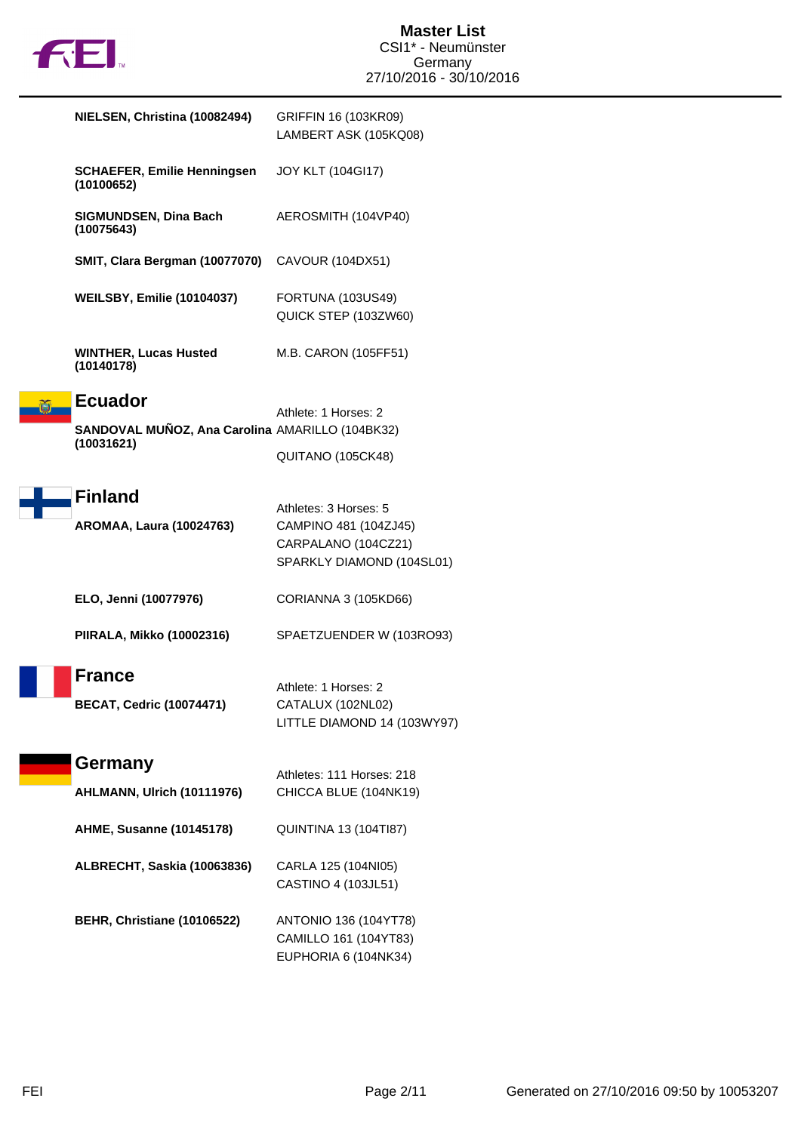

| NIELSEN, Christina (10082494)                                                   | GRIFFIN 16 (103KR09)<br>LAMBERT ASK (105KQ08)                                                      |
|---------------------------------------------------------------------------------|----------------------------------------------------------------------------------------------------|
| <b>SCHAEFER, Emilie Henningsen</b><br>(10100652)                                | <b>JOY KLT (104GI17)</b>                                                                           |
| <b>SIGMUNDSEN, Dina Bach</b><br>(10075643)                                      | AEROSMITH (104VP40)                                                                                |
| SMIT, Clara Bergman (10077070)                                                  | CAVOUR (104DX51)                                                                                   |
| <b>WEILSBY, Emilie (10104037)</b>                                               | FORTUNA (103US49)<br>QUICK STEP (103ZW60)                                                          |
| <b>WINTHER, Lucas Husted</b><br>(10140178)                                      | M.B. CARON (105FF51)                                                                               |
| <b>Ecuador</b><br>SANDOVAL MUÑOZ, Ana Carolina AMARILLO (104BK32)<br>(10031621) | Athlete: 1 Horses: 2                                                                               |
|                                                                                 | QUITANO (105CK48)                                                                                  |
| <b>Finland</b><br><b>AROMAA, Laura (10024763)</b>                               | Athletes: 3 Horses: 5<br>CAMPINO 481 (104ZJ45)<br>CARPALANO (104CZ21)<br>SPARKLY DIAMOND (104SL01) |
| ELO, Jenni (10077976)                                                           | CORIANNA 3 (105KD66)                                                                               |
| <b>PIIRALA, Mikko (10002316)</b>                                                | SPAETZUENDER W (103RO93)                                                                           |
| <b>France</b><br><b>BECAT, Cedric (10074471)</b>                                | Athlete: 1 Horses: 2<br>CATALUX (102NL02)<br>LITTLE DIAMOND 14 (103WY97)                           |
| Germany                                                                         | Athletes: 111 Horses: 218                                                                          |
| AHLMANN, Ulrich (10111976)                                                      | CHICCA BLUE (104NK19)                                                                              |
| <b>AHME, Susanne (10145178)</b>                                                 | <b>QUINTINA 13 (104TI87)</b>                                                                       |
| ALBRECHT, Saskia (10063836)                                                     | CARLA 125 (104NI05)<br>CASTINO 4 (103JL51)                                                         |
| BEHR, Christiane (10106522)                                                     | ANTONIO 136 (104YT78)<br>CAMILLO 161 (104YT83)<br>EUPHORIA 6 (104NK34)                             |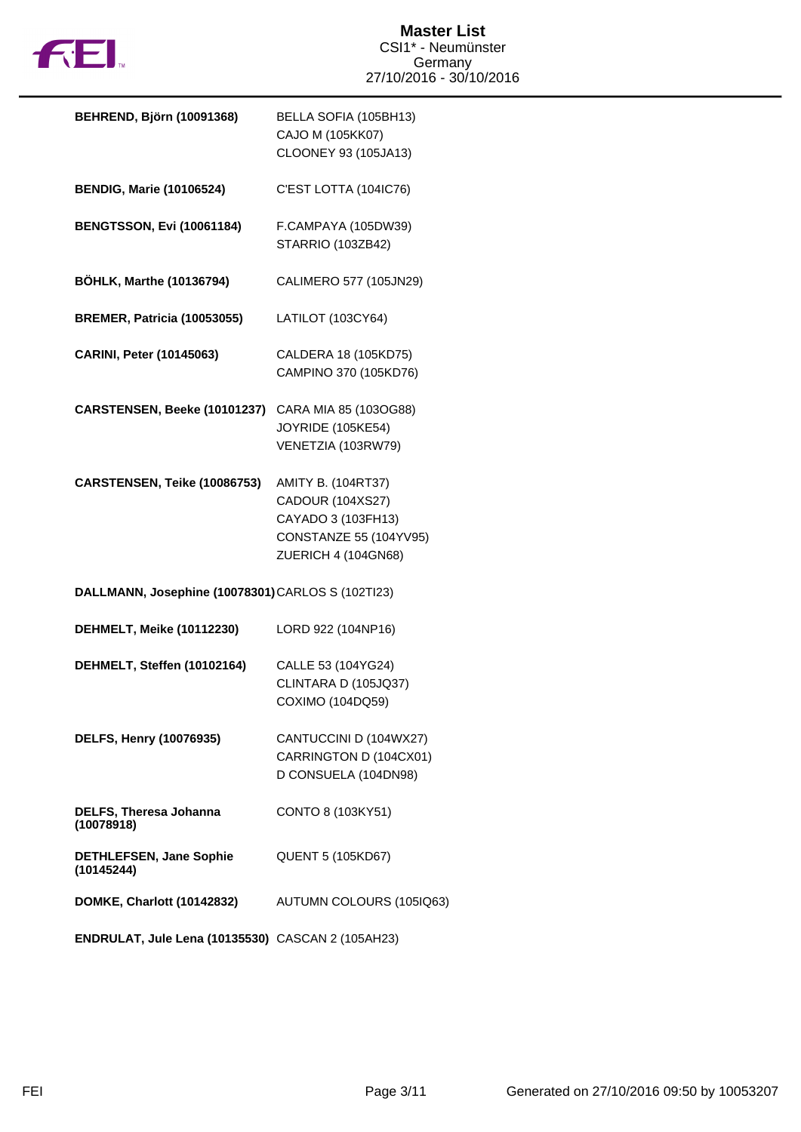

| <b>BEHREND, Björn (10091368)</b>                  | BELLA SOFIA (105BH13)<br>CAJO M (105KK07)<br>CLOONEY 93 (105JA13)                                                           |  |
|---------------------------------------------------|-----------------------------------------------------------------------------------------------------------------------------|--|
| <b>BENDIG, Marie (10106524)</b>                   | C'EST LOTTA (104IC76)                                                                                                       |  |
| <b>BENGTSSON, Evi (10061184)</b>                  | F.CAMPAYA (105DW39)<br>STARRIO (103ZB42)                                                                                    |  |
| <b>BÖHLK, Marthe (10136794)</b>                   | CALIMERO 577 (105JN29)                                                                                                      |  |
| <b>BREMER, Patricia (10053055)</b>                | LATILOT (103CY64)                                                                                                           |  |
| <b>CARINI, Peter (10145063)</b>                   | CALDERA 18 (105KD75)<br>CAMPINO 370 (105KD76)                                                                               |  |
| CARSTENSEN, Beeke (10101237)                      | CARA MIA 85 (103OG88)<br><b>JOYRIDE (105KE54)</b><br>VENETZIA (103RW79)                                                     |  |
| CARSTENSEN, Teike (10086753)                      | <b>AMITY B. (104RT37)</b><br>CADOUR (104XS27)<br>CAYADO 3 (103FH13)<br><b>CONSTANZE 55 (104YV95)</b><br>ZUERICH 4 (104GN68) |  |
| DALLMANN, Josephine (10078301) CARLOS S (102Tl23) |                                                                                                                             |  |
| <b>DEHMELT, Meike (10112230)</b>                  | LORD 922 (104NP16)                                                                                                          |  |
| DEHMELT, Steffen (10102164)                       | CALLE 53 (104YG24)<br>CLINTARA D (105JQ37)<br>COXIMO (104DQ59)                                                              |  |
| DELFS, Henry (10076935)                           | CANTUCCINI D (104WX27)<br>CARRINGTON D (104CX01)<br>D CONSUELA (104DN98)                                                    |  |
| <b>DELFS, Theresa Johanna</b><br>(10078918)       | CONTO 8 (103KY51)                                                                                                           |  |
| <b>DETHLEFSEN, Jane Sophie</b><br>(10145244)      | <b>QUENT 5 (105KD67)</b>                                                                                                    |  |
| <b>DOMKE, Charlott (10142832)</b>                 | AUTUMN COLOURS (105IQ63)                                                                                                    |  |
|                                                   |                                                                                                                             |  |

**ENDRULAT, Jule Lena (10135530)** CASCAN 2 (105AH23)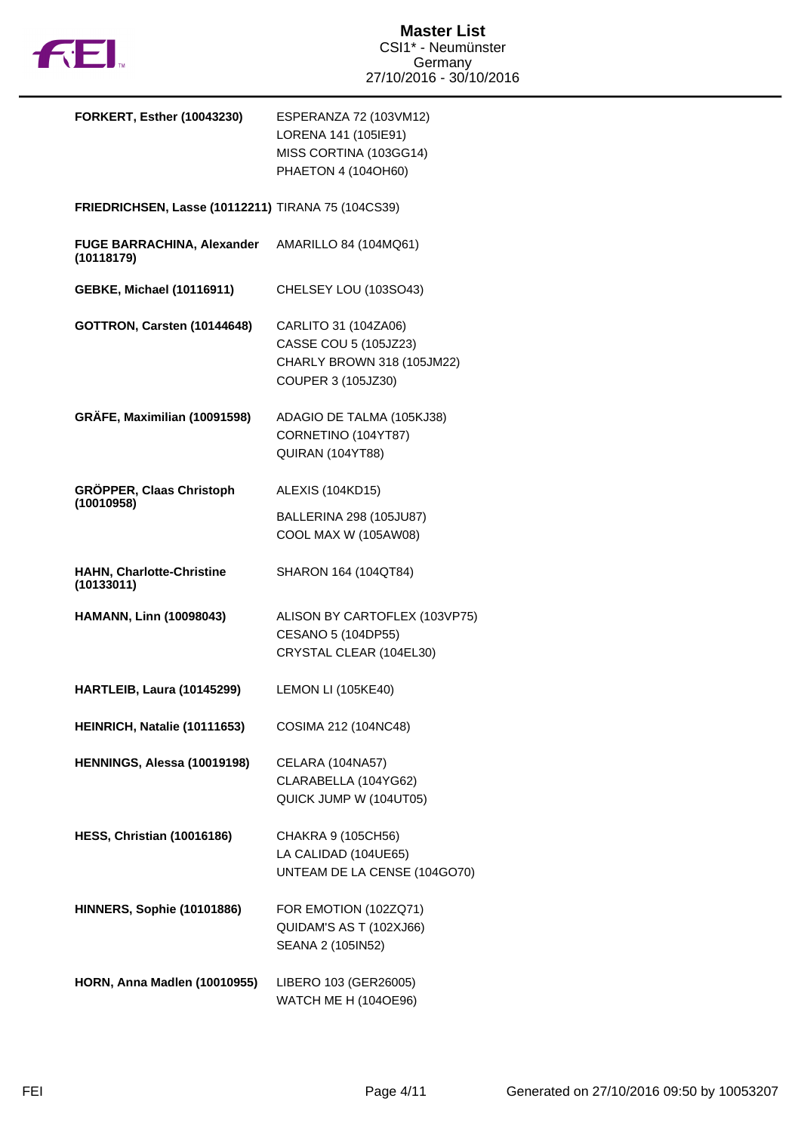

| <b>FORKERT, Esther (10043230)</b>                  | ESPERANZA 72 (103VM12)<br>LORENA 141 (105IE91)<br>MISS CORTINA (103GG14)<br>PHAETON 4 (104OH60)   |
|----------------------------------------------------|---------------------------------------------------------------------------------------------------|
| FRIEDRICHSEN, Lasse (10112211) TIRANA 75 (104CS39) |                                                                                                   |
| <b>FUGE BARRACHINA, Alexander</b><br>(10118179)    | AMARILLO 84 (104MQ61)                                                                             |
| <b>GEBKE, Michael (10116911)</b>                   | CHELSEY LOU (103SO43)                                                                             |
| <b>GOTTRON, Carsten (10144648)</b>                 | CARLITO 31 (104ZA06)<br>CASSE COU 5 (105JZ23)<br>CHARLY BROWN 318 (105JM22)<br>COUPER 3 (105JZ30) |
| GRÄFE, Maximilian (10091598)                       | ADAGIO DE TALMA (105KJ38)<br>CORNETINO (104YT87)<br>QUIRAN (104YT88)                              |
| GRÖPPER, Claas Christoph<br>(10010958)             | ALEXIS (104KD15)                                                                                  |
|                                                    | BALLERINA 298 (105JU87)<br>COOL MAX W (105AW08)                                                   |
| <b>HAHN, Charlotte-Christine</b><br>(10133011)     | SHARON 164 (104QT84)                                                                              |
| <b>HAMANN, Linn (10098043)</b>                     | ALISON BY CARTOFLEX (103VP75)<br>CESANO 5 (104DP55)<br>CRYSTAL CLEAR (104EL30)                    |
| HARTLEIB, Laura (10145299)                         | <b>LEMON LI (105KE40)</b>                                                                         |
| HEINRICH, Natalie (10111653)                       | COSIMA 212 (104NC48)                                                                              |
| HENNINGS, Alessa (10019198)                        | CELARA (104NA57)<br>CLARABELLA (104YG62)<br>QUICK JUMP W (104UT05)                                |
| <b>HESS, Christian (10016186)</b>                  | CHAKRA 9 (105CH56)<br>LA CALIDAD (104UE65)<br>UNTEAM DE LA CENSE (104GO70)                        |
| <b>HINNERS, Sophie (10101886)</b>                  | FOR EMOTION (102ZQ71)<br>QUIDAM'S AS T (102XJ66)<br>SEANA 2 (105IN52)                             |
| <b>HORN, Anna Madlen (10010955)</b>                | LIBERO 103 (GER26005)<br>WATCH ME H (104OE96)                                                     |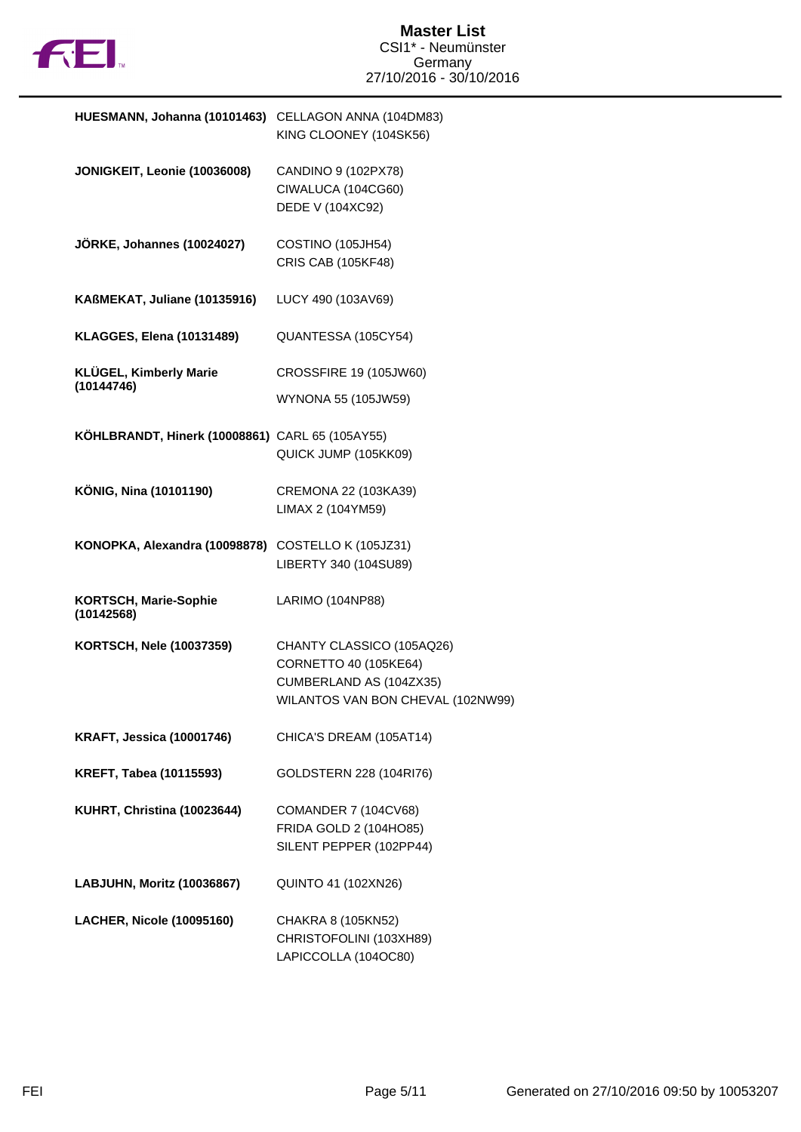

| HUESMANN, Johanna (10101463)                       | CELLAGON ANNA (104DM83)<br>KING CLOONEY (104SK56)                                                                  |
|----------------------------------------------------|--------------------------------------------------------------------------------------------------------------------|
| JONIGKEIT, Leonie (10036008)                       | CANDINO 9 (102PX78)<br>CIWALUCA (104CG60)<br>DEDE V (104XC92)                                                      |
| JÖRKE, Johannes (10024027)                         | COSTINO (105JH54)<br>CRIS CAB (105KF48)                                                                            |
| KAßMEKAT, Juliane (10135916)                       | LUCY 490 (103AV69)                                                                                                 |
| <b>KLAGGES, Elena (10131489)</b>                   | QUANTESSA (105CY54)                                                                                                |
| <b>KLÜGEL, Kimberly Marie</b><br>(10144746)        | CROSSFIRE 19 (105JW60)<br>WYNONA 55 (105JW59)                                                                      |
| KÖHLBRANDT, Hinerk (10008861) CARL 65 (105AY55)    | QUICK JUMP (105KK09)                                                                                               |
| KÖNIG, Nina (10101190)                             | CREMONA 22 (103KA39)<br>LIMAX 2 (104YM59)                                                                          |
| KONOPKA, Alexandra (10098878) COSTELLO K (105JZ31) | LIBERTY 340 (104SU89)                                                                                              |
| <b>KORTSCH, Marie-Sophie</b><br>(10142568)         | LARIMO (104NP88)                                                                                                   |
| <b>KORTSCH, Nele (10037359)</b>                    | CHANTY CLASSICO (105AQ26)<br>CORNETTO 40 (105KE64)<br>CUMBERLAND AS (104ZX35)<br>WILANTOS VAN BON CHEVAL (102NW99) |
| <b>KRAFT, Jessica (10001746)</b>                   | CHICA'S DREAM (105AT14)                                                                                            |
| <b>KREFT, Tabea (10115593)</b>                     | GOLDSTERN 228 (104RI76)                                                                                            |
| KUHRT, Christina (10023644)                        | <b>COMANDER 7 (104CV68)</b><br>FRIDA GOLD 2 (104HO85)<br>SILENT PEPPER (102PP44)                                   |
| LABJUHN, Moritz (10036867)                         | <b>QUINTO 41 (102XN26)</b>                                                                                         |
| <b>LACHER, Nicole (10095160)</b>                   | CHAKRA 8 (105KN52)<br>CHRISTOFOLINI (103XH89)<br>LAPICCOLLA (104OC80)                                              |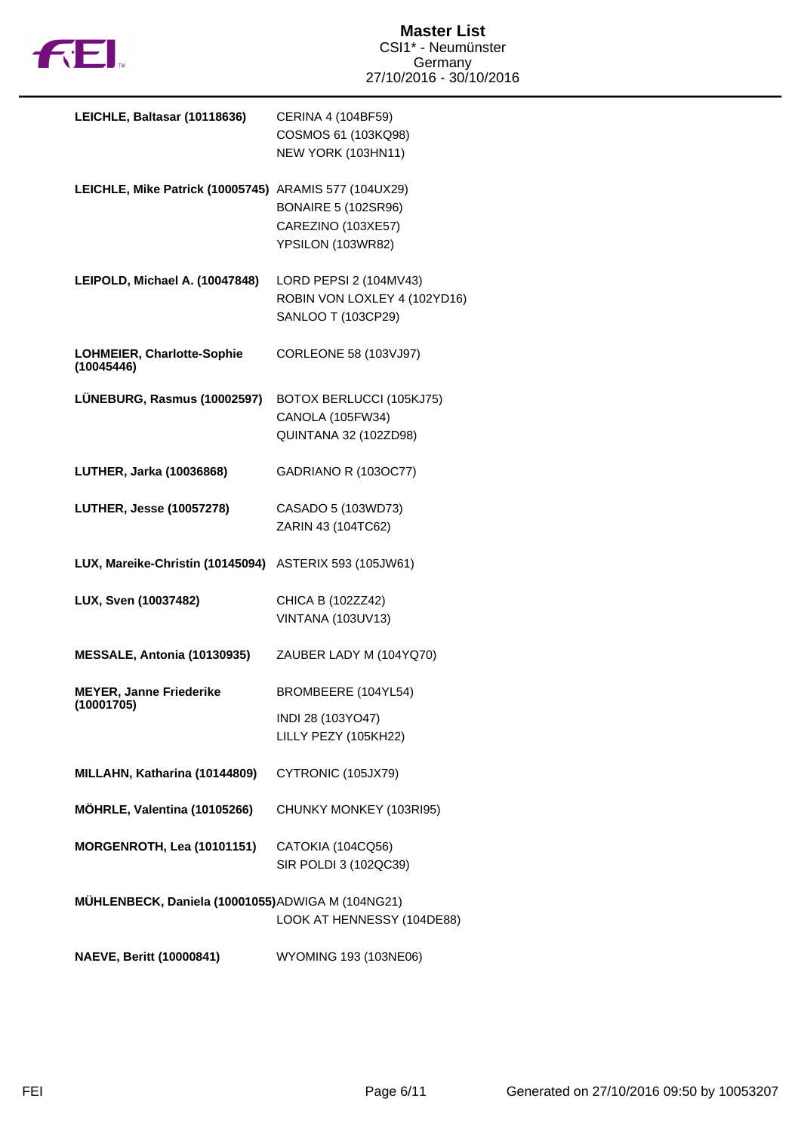

| LEICHLE, Baltasar (10118636)                          | CERINA 4 (104BF59)<br>COSMOS 61 (103KQ98)<br>NEW YORK (103HN11)              |
|-------------------------------------------------------|------------------------------------------------------------------------------|
| LEICHLE, Mike Patrick (10005745) ARAMIS 577 (104UX29) | <b>BONAIRE 5 (102SR96)</b><br>CAREZINO (103XE57)<br>YPSILON (103WR82)        |
| LEIPOLD, Michael A. (10047848)                        | LORD PEPSI 2 (104MV43)<br>ROBIN VON LOXLEY 4 (102YD16)<br>SANLOO T (103CP29) |
| <b>LOHMEIER, Charlotte-Sophie</b><br>(10045446)       | CORLEONE 58 (103VJ97)                                                        |
| LÜNEBURG, Rasmus (10002597)                           | BOTOX BERLUCCI (105KJ75)<br>CANOLA (105FW34)<br>QUINTANA 32 (102ZD98)        |
| LUTHER, Jarka (10036868)                              | GADRIANO R (1030C77)                                                         |
| <b>LUTHER, Jesse (10057278)</b>                       | CASADO 5 (103WD73)<br>ZARIN 43 (104TC62)                                     |
| LUX, Mareike-Christin (10145094)                      | ASTERIX 593 (105JW61)                                                        |
| LUX, Sven (10037482)                                  | CHICA B (102ZZ42)<br><b>VINTANA (103UV13)</b>                                |
| MESSALE, Antonia (10130935)                           | ZAUBER LADY M (104YQ70)                                                      |
| <b>MEYER, Janne Friederike</b><br>(10001705)          | BROMBEERE (104YL54)                                                          |
|                                                       | INDI 28 (103YO47)<br>LILLY PEZY (105KH22)                                    |
| MILLAHN, Katharina (10144809)                         | CYTRONIC (105JX79)                                                           |
| MÖHRLE, Valentina (10105266)                          | CHUNKY MONKEY (103RI95)                                                      |
| <b>MORGENROTH, Lea (10101151)</b>                     | CATOKIA (104CQ56)<br>SIR POLDI 3 (102QC39)                                   |
| MÜHLENBECK, Daniela (10001055) ADWIGA M (104NG21)     | LOOK AT HENNESSY (104DE88)                                                   |
| <b>NAEVE, Beritt (10000841)</b>                       | WYOMING 193 (103NE06)                                                        |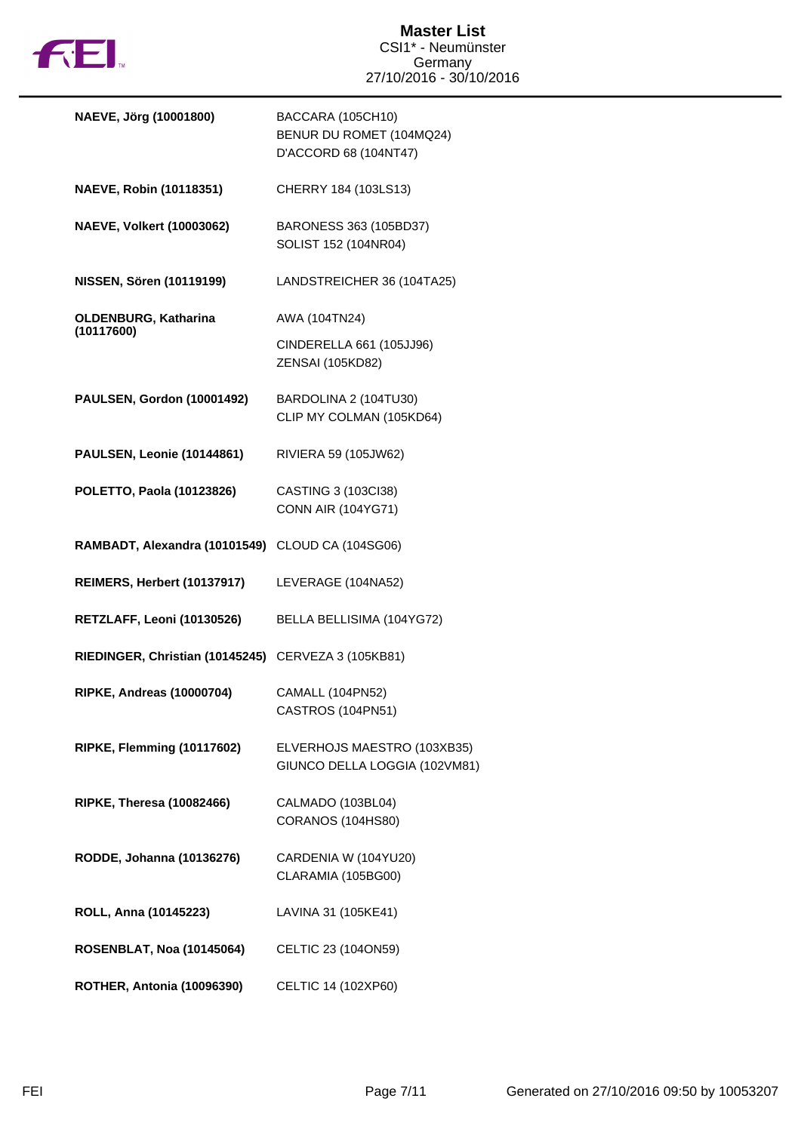

| NAEVE, Jörg (10001800)                              | BACCARA (105CH10)<br>BENUR DU ROMET (104MQ24)<br>D'ACCORD 68 (104NT47) |
|-----------------------------------------------------|------------------------------------------------------------------------|
| NAEVE, Robin (10118351)                             | CHERRY 184 (103LS13)                                                   |
| <b>NAEVE, Volkert (10003062)</b>                    | BARONESS 363 (105BD37)<br>SOLIST 152 (104NR04)                         |
| NISSEN, Sören (10119199)                            | LANDSTREICHER 36 (104TA25)                                             |
| <b>OLDENBURG, Katharina</b><br>(10117600)           | AWA (104TN24)                                                          |
|                                                     | CINDERELLA 661 (105JJ96)<br>ZENSAI (105KD82)                           |
| PAULSEN, Gordon (10001492)                          | BARDOLINA 2 (104TU30)<br>CLIP MY COLMAN (105KD64)                      |
| PAULSEN, Leonie (10144861)                          | RIVIERA 59 (105JW62)                                                   |
| POLETTO, Paola (10123826)                           | CASTING 3 (103Cl38)<br><b>CONN AIR (104YG71)</b>                       |
| RAMBADT, Alexandra (10101549) CLOUD CA (104SG06)    |                                                                        |
| REIMERS, Herbert (10137917)                         | LEVERAGE (104NA52)                                                     |
| RETZLAFF, Leoni (10130526)                          | BELLA BELLISIMA (104YG72)                                              |
| RIEDINGER, Christian (10145245) CERVEZA 3 (105KB81) |                                                                        |
| <b>RIPKE, Andreas (10000704)</b>                    | <b>CAMALL (104PN52)</b><br>CASTROS (104PN51)                           |
| RIPKE, Flemming (10117602)                          | ELVERHOJS MAESTRO (103XB35)<br>GIUNCO DELLA LOGGIA (102VM81)           |
| <b>RIPKE, Theresa (10082466)</b>                    | CALMADO (103BL04)<br>CORANOS (104HS80)                                 |
| RODDE, Johanna (10136276)                           | CARDENIA W (104YU20)<br>CLARAMIA (105BG00)                             |
| ROLL, Anna (10145223)                               | LAVINA 31 (105KE41)                                                    |
| <b>ROSENBLAT, Noa (10145064)</b>                    | CELTIC 23 (104ON59)                                                    |
| ROTHER, Antonia (10096390)                          | CELTIC 14 (102XP60)                                                    |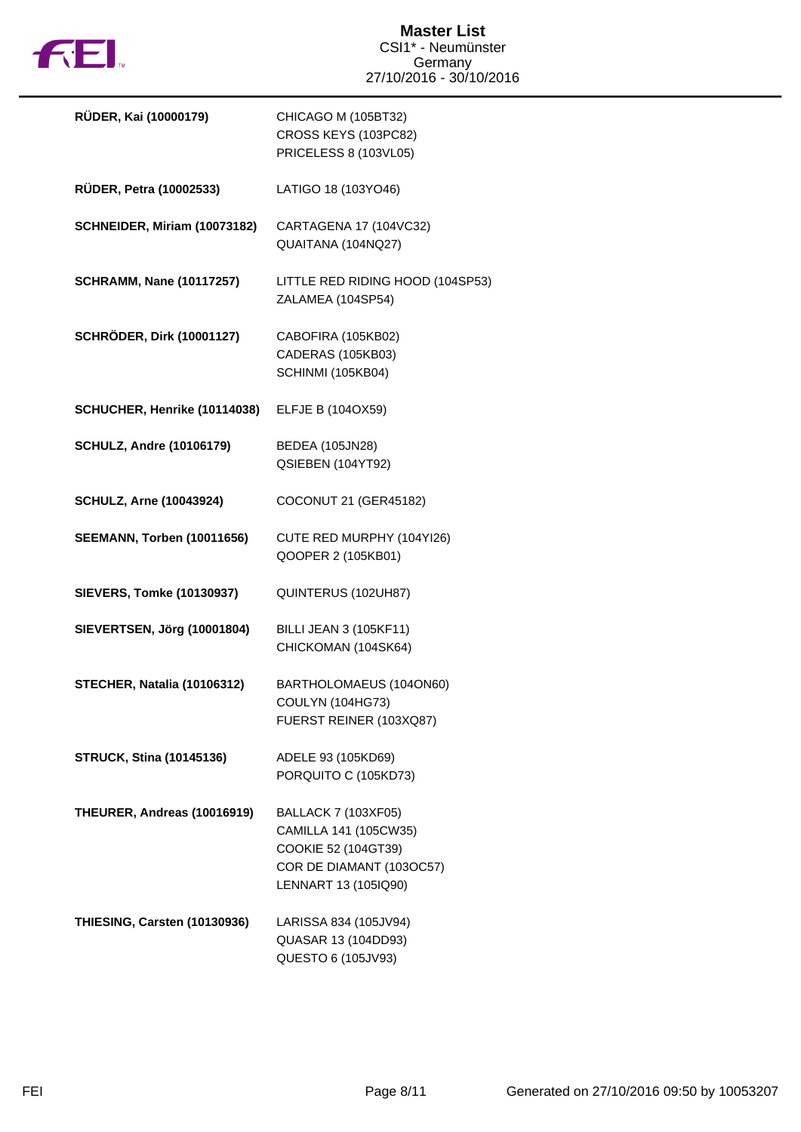

| RÜDER, Kai (10000179)             | CHICAGO M (105BT32)<br>CROSS KEYS (103PC82)<br>PRICELESS 8 (103VL05)                                                           |
|-----------------------------------|--------------------------------------------------------------------------------------------------------------------------------|
| RÜDER, Petra (10002533)           | LATIGO 18 (103YO46)                                                                                                            |
| SCHNEIDER, Miriam (10073182)      | CARTAGENA 17 (104VC32)<br>QUAITANA (104NQ27)                                                                                   |
| <b>SCHRAMM, Nane (10117257)</b>   | LITTLE RED RIDING HOOD (104SP53)<br>ZALAMEA (104SP54)                                                                          |
| <b>SCHRÖDER, Dirk (10001127)</b>  | CABOFIRA (105KB02)<br>CADERAS (105KB03)<br>SCHINMI (105KB04)                                                                   |
| SCHUCHER, Henrike (10114038)      | ELFJE B (104OX59)                                                                                                              |
| <b>SCHULZ, Andre (10106179)</b>   | <b>BEDEA (105JN28)</b><br>QSIEBEN (104YT92)                                                                                    |
| <b>SCHULZ, Arne (10043924)</b>    | COCONUT 21 (GER45182)                                                                                                          |
| <b>SEEMANN, Torben (10011656)</b> | CUTE RED MURPHY (104YI26)<br>QOOPER 2 (105KB01)                                                                                |
| <b>SIEVERS, Tomke (10130937)</b>  | QUINTERUS (102UH87)                                                                                                            |
| SIEVERTSEN, Jörg (10001804)       | <b>BILLI JEAN 3 (105KF11)</b><br>CHICKOMAN (104SK64)                                                                           |
| STECHER, Natalia (10106312)       | BARTHOLOMAEUS (104ON60)<br>COULYN (104HG73)<br>FUERST REINER (103XQ87)                                                         |
| <b>STRUCK, Stina (10145136)</b>   | ADELE 93 (105KD69)<br>PORQUITO C (105KD73)                                                                                     |
| THEURER, Andreas (10016919)       | <b>BALLACK 7 (103XF05)</b><br>CAMILLA 141 (105CW35)<br>COOKIE 52 (104GT39)<br>COR DE DIAMANT (103OC57)<br>LENNART 13 (105IQ90) |
| THIESING, Carsten (10130936)      | LARISSA 834 (105JV94)<br>QUASAR 13 (104DD93)<br>QUESTO 6 (105JV93)                                                             |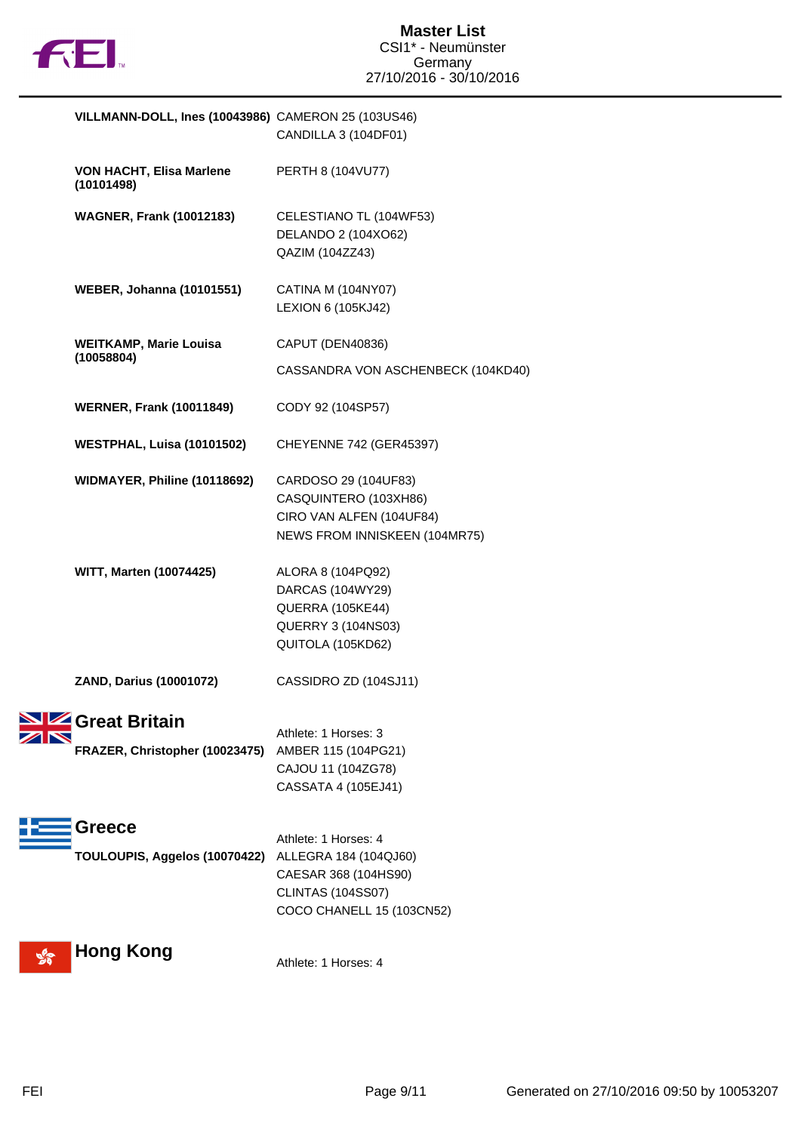

| VILLMANN-DOLL, Ines (10043986) CAMERON 25 (103US46)         | CANDILLA 3 (104DF01)                                                                                                           |
|-------------------------------------------------------------|--------------------------------------------------------------------------------------------------------------------------------|
| VON HACHT, Elisa Marlene<br>(10101498)                      | PERTH 8 (104VU77)                                                                                                              |
| <b>WAGNER, Frank (10012183)</b>                             | CELESTIANO TL (104WF53)<br>DELANDO 2 (104XO62)<br>QAZIM (104ZZ43)                                                              |
| <b>WEBER, Johanna (10101551)</b>                            | CATINA M (104NY07)<br>LEXION 6 (105KJ42)                                                                                       |
| <b>WEITKAMP, Marie Louisa</b><br>(10058804)                 | CAPUT (DEN40836)<br>CASSANDRA VON ASCHENBECK (104KD40)                                                                         |
| <b>WERNER, Frank (10011849)</b>                             | CODY 92 (104SP57)                                                                                                              |
| <b>WESTPHAL, Luisa (10101502)</b>                           | CHEYENNE 742 (GER45397)                                                                                                        |
| WIDMAYER, Philine (10118692)                                | CARDOSO 29 (104UF83)<br>CASQUINTERO (103XH86)<br>CIRO VAN ALFEN (104UF84)<br>NEWS FROM INNISKEEN (104MR75)                     |
| <b>WITT, Marten (10074425)</b>                              | ALORA 8 (104PQ92)<br>DARCAS (104WY29)<br>QUERRA (105KE44)<br>QUERRY 3 (104NS03)<br>QUITOLA (105KD62)                           |
| ZAND, Darius (10001072)                                     | CASSIDRO ZD (104SJ11)                                                                                                          |
| <b>STAN</b> Great Britain<br>FRAZER, Christopher (10023475) | Athlete: 1 Horses: 3<br>AMBER 115 (104PG21)<br>CAJOU 11 (104ZG78)<br>CASSATA 4 (105EJ41)                                       |
| Greece<br>TOULOUPIS, Aggelos (10070422)                     | Athlete: 1 Horses: 4<br>ALLEGRA 184 (104QJ60)<br>CAESAR 368 (104HS90)<br><b>CLINTAS (104SS07)</b><br>COCO CHANELL 15 (103CN52) |
| <b>Hong Kong</b>                                            | Athlete: 1 Horses: 4                                                                                                           |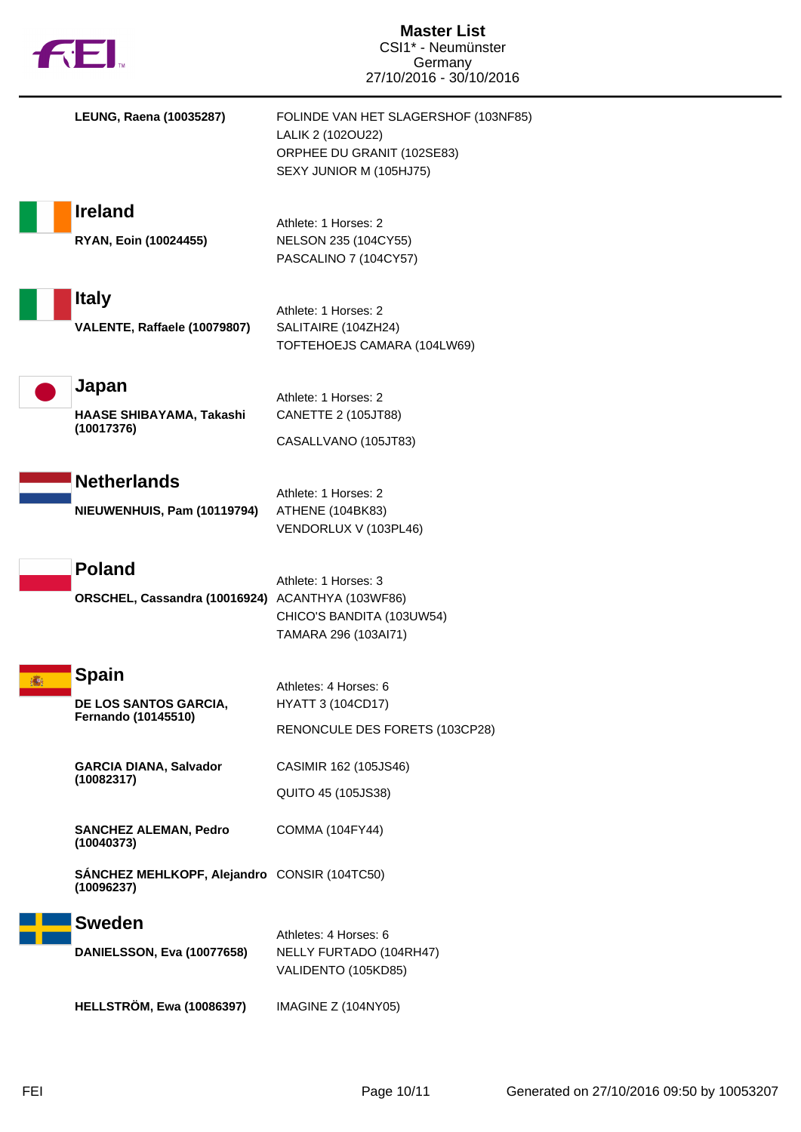| 七七                                                                | <b>Master List</b><br>CSI1* - Neumünster<br>Germany<br>27/10/2016 - 30/10/2016                                     |
|-------------------------------------------------------------------|--------------------------------------------------------------------------------------------------------------------|
| <b>LEUNG, Raena (10035287)</b>                                    | FOLINDE VAN HET SLAGERSHOF (103NF85)<br>LALIK 2 (1020U22)<br>ORPHEE DU GRANIT (102SE83)<br>SEXY JUNIOR M (105HJ75) |
| <b>Ireland</b><br>RYAN, Eoin (10024455)                           | Athlete: 1 Horses: 2<br>NELSON 235 (104CY55)<br>PASCALINO 7 (104CY57)                                              |
| <b>Italy</b><br>VALENTE, Raffaele (10079807)                      | Athlete: 1 Horses: 2<br>SALITAIRE (104ZH24)<br>TOFTEHOEJS CAMARA (104LW69)                                         |
| Japan<br>HAASE SHIBAYAMA, Takashi<br>(10017376)                   | Athlete: 1 Horses: 2<br>CANETTE 2 (105JT88)<br>CASALLVANO (105JT83)                                                |
| <b>Netherlands</b><br>NIEUWENHUIS, Pam (10119794)                 | Athlete: 1 Horses: 2<br>ATHENE (104BK83)<br>VENDORLUX V (103PL46)                                                  |
| <b>Poland</b><br>ORSCHEL, Cassandra (10016924) ACANTHYA (103WF86) | Athlete: 1 Horses: 3<br>CHICO'S BANDITA (103UW54)<br>TAMARA 296 (103Al71)                                          |
| <b>Spain</b><br>DE LOS SANTOS GARCIA,<br>Fernando (10145510)      | Athletes: 4 Horses: 6<br><b>HYATT 3 (104CD17)</b><br>RENONCULE DES FORETS (103CP28)                                |
| <b>GARCIA DIANA, Salvador</b><br>(10082317)                       | CASIMIR 162 (105JS46)<br>QUITO 45 (105JS38)                                                                        |
| <b>SANCHEZ ALEMAN, Pedro</b><br>(10040373)                        | COMMA (104FY44)                                                                                                    |
| SÁNCHEZ MEHLKOPF, Alejandro CONSIR (104TC50)<br>(10096237)        |                                                                                                                    |
| <b>Sweden</b><br>DANIELSSON, Eva (10077658)                       | Athletes: 4 Horses: 6<br>NELLY FURTADO (104RH47)<br>VALIDENTO (105KD85)                                            |
| <b>HELLSTRÖM, Ewa (10086397)</b>                                  | IMAGINE Z (104NY05)                                                                                                |